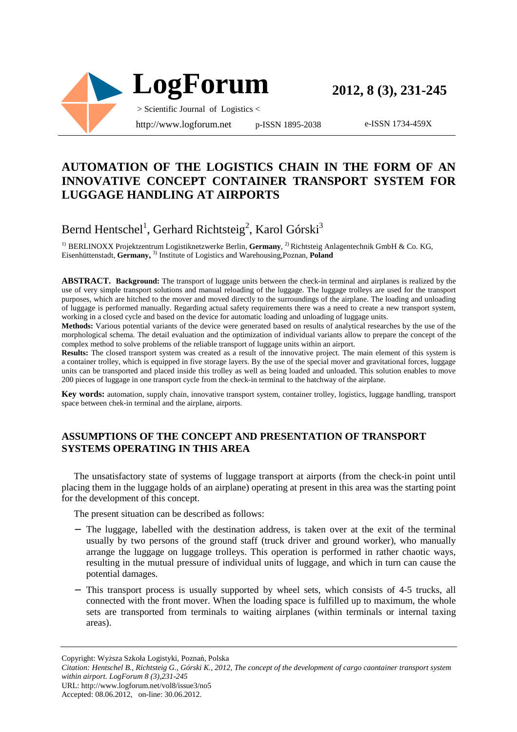

e-ISSN 1734-459X

## **AUTOMATION OF THE LOGISTICS CHAIN IN THE FORM OF AN INNOVATIVE CONCEPT CONTAINER TRANSPORT SYSTEM FOR LUGGAGE HANDLING AT AIRPORTS**

# Bernd Hentschel<sup>1</sup>, Gerhard Richtsteig<sup>2</sup>, Karol Górski<sup>3</sup>

1) BERLINOXX Projektzentrum Logistiknetzwerke Berlin, **Germany**, 2) Richtsteig Anlagentechnik GmbH & Co. KG, Eisenhüttenstadt, **Germany,** 3) Institute of Logistics and Warehousing,Poznan, **Poland**

**ABSTRACT. Background:** The transport of luggage units between the check-in terminal and airplanes is realized by the use of very simple transport solutions and manual reloading of the luggage. The luggage trolleys are used for the transport purposes, which are hitched to the mover and moved directly to the surroundings of the airplane. The loading and unloading of luggage is performed manually. Regarding actual safety requirements there was a need to create a new transport system, working in a closed cycle and based on the device for automatic loading and unloading of luggage units.

**Methods:** Various potential variants of the device were generated based on results of analytical researches by the use of the morphological schema. The detail evaluation and the optimization of individual variants allow to prepare the concept of the complex method to solve problems of the reliable transport of luggage units within an airport.

**Results:** The closed transport system was created as a result of the innovative project. The main element of this system is a container trolley, which is equipped in five storage layers. By the use of the special mover and gravitational forces, luggage units can be transported and placed inside this trolley as well as being loaded and unloaded. This solution enables to move 200 pieces of luggage in one transport cycle from the check-in terminal to the hatchway of the airplane.

**Key words:** automation, supply chain, innovative transport system, container trolley, logistics, luggage handling, transport space between chek-in terminal and the airplane, airports.

#### **ASSUMPTIONS OF THE CONCEPT AND PRESENTATION OF TRANSPORT SYSTEMS OPERATING IN THIS AREA**

The unsatisfactory state of systems of luggage transport at airports (from the check-in point until placing them in the luggage holds of an airplane) operating at present in this area was the starting point for the development of this concept.

The present situation can be described as follows:

- − The luggage, labelled with the destination address, is taken over at the exit of the terminal usually by two persons of the ground staff (truck driver and ground worker), who manually arrange the luggage on luggage trolleys. This operation is performed in rather chaotic ways, resulting in the mutual pressure of individual units of luggage, and which in turn can cause the potential damages.
- − This transport process is usually supported by wheel sets, which consists of 4-5 trucks, all connected with the front mover. When the loading space is fulfilled up to maximum, the whole sets are transported from terminals to waiting airplanes (within terminals or internal taxing areas).

Copyright: Wyższa Szkoła Logistyki, Poznań, Polska

*Citation: Hentschel B., Richtsteig G., Górski K., 2012, The concept of the development of cargo caontainer transport system within airport. LogForum 8 (3),231-245* 

URL: http://www.logforum.net/vol8/issue3/no5

Accepted: 08.06.2012, on-line: 30.06.2012.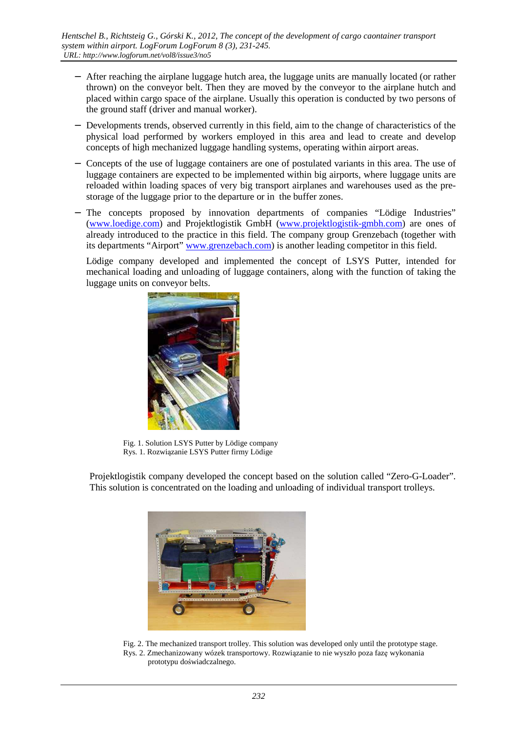- − After reaching the airplane luggage hutch area, the luggage units are manually located (or rather thrown) on the conveyor belt. Then they are moved by the conveyor to the airplane hutch and placed within cargo space of the airplane. Usually this operation is conducted by two persons of the ground staff (driver and manual worker).
- − Developments trends, observed currently in this field, aim to the change of characteristics of the physical load performed by workers employed in this area and lead to create and develop concepts of high mechanized luggage handling systems, operating within airport areas.
- − Concepts of the use of luggage containers are one of postulated variants in this area. The use of luggage containers are expected to be implemented within big airports, where luggage units are reloaded within loading spaces of very big transport airplanes and warehouses used as the prestorage of the luggage prior to the departure or in the buffer zones.
- − The concepts proposed by innovation departments of companies "Lödige Industries" (www.loedige.com) and Projektlogistik GmbH (www.projektlogistik-gmbh.com) are ones of already introduced to the practice in this field. The company group Grenzebach (together with its departments "Airport" www.grenzebach.com) is another leading competitor in this field.

Lödige company developed and implemented the concept of LSYS Putter, intended for mechanical loading and unloading of luggage containers, along with the function of taking the luggage units on conveyor belts.



 Fig. 1. Solution LSYS Putter by Lödige company Rys. 1. Rozwiązanie LSYS Putter firmy Lödige

Projektlogistik company developed the concept based on the solution called "Zero-G-Loader". This solution is concentrated on the loading and unloading of individual transport trolleys.



 Fig. 2. The mechanized transport trolley. This solution was developed only until the prototype stage. Rys. 2. Zmechanizowany wózek transportowy. Rozwiązanie to nie wyszło poza fazę wykonania prototypu doświadczalnego.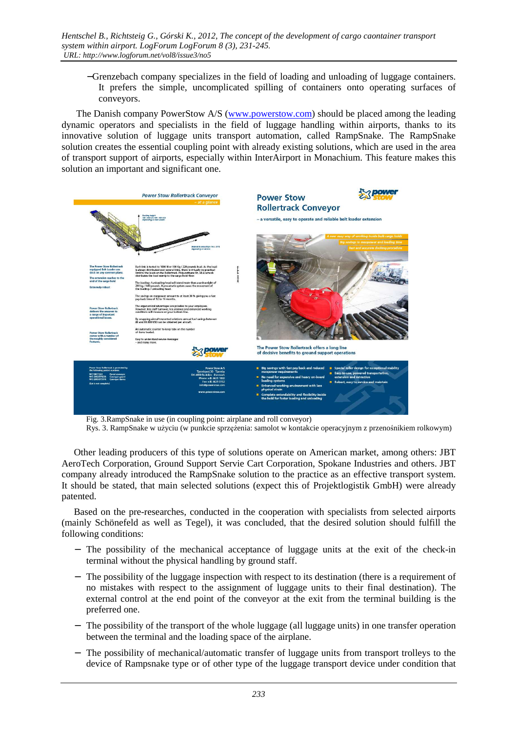−Grenzebach company specializes in the field of loading and unloading of luggage containers. It prefers the simple, uncomplicated spilling of containers onto operating surfaces of conveyors.

 The Danish company PowerStow A/S (www.powerstow.com) should be placed among the leading dynamic operators and specialists in the field of luggage handling within airports, thanks to its innovative solution of luggage units transport automation, called RampSnake. The RampSnake solution creates the essential coupling point with already existing solutions, which are used in the area of transport support of airports, especially within InterAirport in Monachium. This feature makes this solution an important and significant one.



Fig. 3.RampSnake in use (in coupling point: airplane and roll conveyor)

Rys. 3. RampSnake w użyciu (w punkcie sprzężenia: samolot w kontakcie operacyjnym z przenośnikiem rolkowym)

Other leading producers of this type of solutions operate on American market, among others: JBT AeroTech Corporation, Ground Support Servie Cart Corporation, Spokane Industries and others. JBT company already introduced the RampSnake solution to the practice as an effective transport system. It should be stated, that main selected solutions (expect this of Projektlogistik GmbH) were already patented.

Based on the pre-researches, conducted in the cooperation with specialists from selected airports (mainly Schönefeld as well as Tegel), it was concluded, that the desired solution should fulfill the following conditions:

- − The possibility of the mechanical acceptance of luggage units at the exit of the check-in terminal without the physical handling by ground staff.
- − The possibility of the luggage inspection with respect to its destination (there is a requirement of no mistakes with respect to the assignment of luggage units to their final destination). The external control at the end point of the conveyor at the exit from the terminal building is the preferred one.
- − The possibility of the transport of the whole luggage (all luggage units) in one transfer operation between the terminal and the loading space of the airplane.
- − The possibility of mechanical/automatic transfer of luggage units from transport trolleys to the device of Rampsnake type or of other type of the luggage transport device under condition that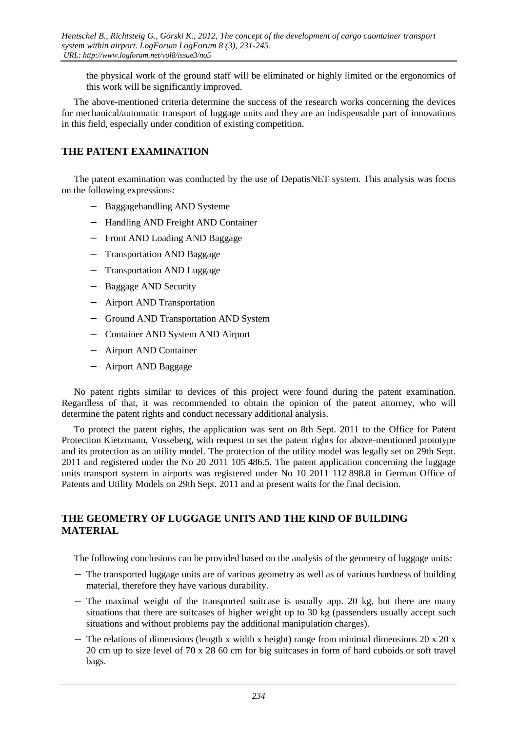the physical work of the ground staff will be eliminated or highly limited or the ergonomics of this work will be significantly improved.

The above-mentioned criteria determine the success of the research works concerning the devices for mechanical/automatic transport of luggage units and they are an indispensable part of innovations in this field, especially under condition of existing competition.

#### **THE PATENT EXAMINATION**

The patent examination was conducted by the use of DepatisNET system. This analysis was focus on the following expressions:

- − Baggagehandling AND Systeme
- − Handling AND Freight AND Container
- − Front AND Loading AND Baggage
- − Transportation AND Baggage
- − Transportation AND Luggage
- − Baggage AND Security
- − Airport AND Transportation
- − Ground AND Transportation AND System
- − Container AND System AND Airport
- − Airport AND Container
- − Airport AND Baggage

No patent rights similar to devices of this project were found during the patent examination. Regardless of that, it was recommended to obtain the opinion of the patent attorney, who will determine the patent rights and conduct necessary additional analysis.

To protect the patent rights, the application was sent on 8th Sept. 2011 to the Office for Patent Protection Kietzmann, Vosseberg, with request to set the patent rights for above-mentioned prototype and its protection as an utility model. The protection of the utility model was legally set on 29th Sept. 2011 and registered under the No 20 2011 105 486.5. The patent application concerning the luggage units transport system in airports was registered under No 10 2011 112 898.8 in German Office of Patents and Utility Models on 29th Sept. 2011 and at present waits for the final decision.

#### **THE GEOMETRY OF LUGGAGE UNITS AND THE KIND OF BUILDING MATERIAL**

The following conclusions can be provided based on the analysis of the geometry of luggage units:

- − The transported luggage units are of various geometry as well as of various hardness of building material, therefore they have various durability.
- − The maximal weight of the transported suitcase is usually app. 20 kg, but there are many situations that there are suitcases of higher weight up to 30 kg (passenders usually accept such situations and without problems pay the additional manipulation charges).
- − The relations of dimensions (length x width x height) range from minimal dimensions 20 x 20 x 20 cm up to size level of 70 x 28 60 cm for big suitcases in form of hard cuboids or soft travel bags.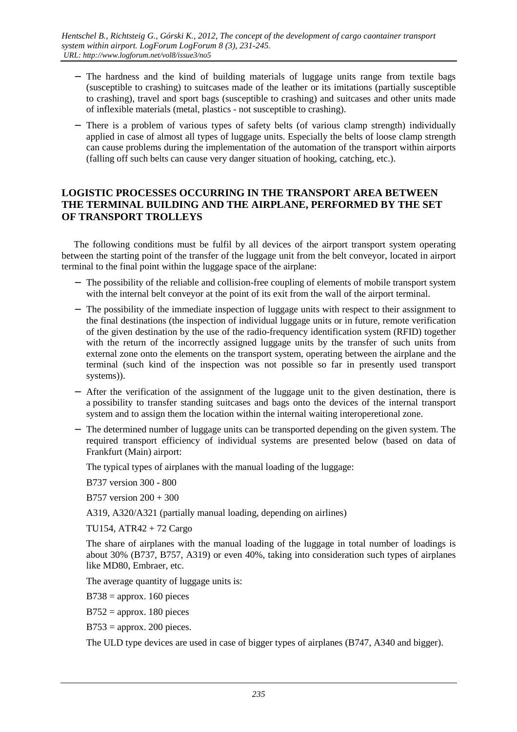- − The hardness and the kind of building materials of luggage units range from textile bags (susceptible to crashing) to suitcases made of the leather or its imitations (partially susceptible to crashing), travel and sport bags (susceptible to crashing) and suitcases and other units made of inflexible materials (metal, plastics - not susceptible to crashing).
- − There is a problem of various types of safety belts (of various clamp strength) individually applied in case of almost all types of luggage units. Especially the belts of loose clamp strength can cause problems during the implementation of the automation of the transport within airports (falling off such belts can cause very danger situation of hooking, catching, etc.).

#### **LOGISTIC PROCESSES OCCURRING IN THE TRANSPORT AREA BETWEEN THE TERMINAL BUILDING AND THE AIRPLANE, PERFORMED BY THE SET OF TRANSPORT TROLLEYS**

The following conditions must be fulfil by all devices of the airport transport system operating between the starting point of the transfer of the luggage unit from the belt conveyor, located in airport terminal to the final point within the luggage space of the airplane:

- − The possibility of the reliable and collision-free coupling of elements of mobile transport system with the internal belt conveyor at the point of its exit from the wall of the airport terminal.
- − The possibility of the immediate inspection of luggage units with respect to their assignment to the final destinations (the inspection of individual luggage units or in future, remote verification of the given destination by the use of the radio-frequency identification system (RFID) together with the return of the incorrectly assigned luggage units by the transfer of such units from external zone onto the elements on the transport system, operating between the airplane and the terminal (such kind of the inspection was not possible so far in presently used transport systems)).
- − After the verification of the assignment of the luggage unit to the given destination, there is a possibility to transfer standing suitcases and bags onto the devices of the internal transport system and to assign them the location within the internal waiting interoperetional zone.
- − The determined number of luggage units can be transported depending on the given system. The required transport efficiency of individual systems are presented below (based on data of Frankfurt (Main) airport:

The typical types of airplanes with the manual loading of the luggage:

B737 version 300 - 800

B757 version 200 + 300

A319, A320/A321 (partially manual loading, depending on airlines)

TU154, ATR42 + 72 Cargo

The share of airplanes with the manual loading of the luggage in total number of loadings is about 30% (B737, B757, A319) or even 40%, taking into consideration such types of airplanes like MD80, Embraer, etc.

The average quantity of luggage units is:

 $B738 =$ approx. 160 pieces

 $B752$  = approx. 180 pieces

 $B753$  = approx. 200 pieces.

The ULD type devices are used in case of bigger types of airplanes (B747, A340 and bigger).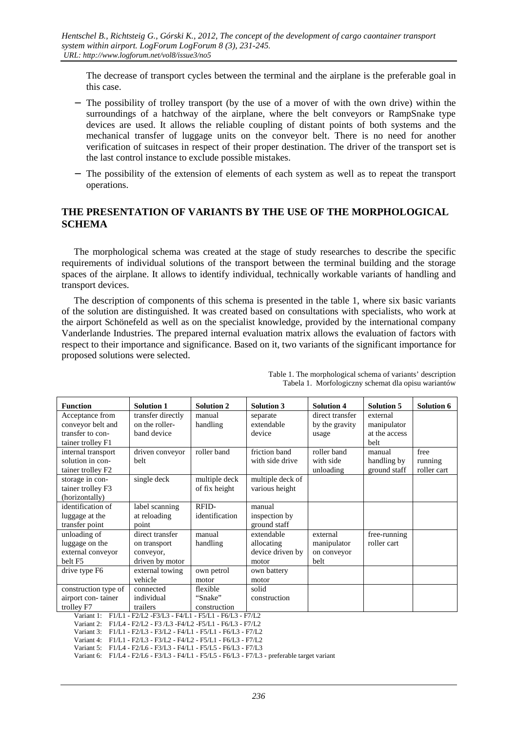The decrease of transport cycles between the terminal and the airplane is the preferable goal in this case.

- − The possibility of trolley transport (by the use of a mover of with the own drive) within the surroundings of a hatchway of the airplane, where the belt conveyors or RampSnake type devices are used. It allows the reliable coupling of distant points of both systems and the mechanical transfer of luggage units on the conveyor belt. There is no need for another verification of suitcases in respect of their proper destination. The driver of the transport set is the last control instance to exclude possible mistakes.
- − The possibility of the extension of elements of each system as well as to repeat the transport operations.

#### **THE PRESENTATION OF VARIANTS BY THE USE OF THE MORPHOLOGICAL SCHEMA**

The morphological schema was created at the stage of study researches to describe the specific requirements of individual solutions of the transport between the terminal building and the storage spaces of the airplane. It allows to identify individual, technically workable variants of handling and transport devices.

The description of components of this schema is presented in the table 1, where six basic variants of the solution are distinguished. It was created based on consultations with specialists, who work at the airport Schönefeld as well as on the specialist knowledge, provided by the international company Vanderlande Industries. The prepared internal evaluation matrix allows the evaluation of factors with respect to their importance and significance. Based on it, two variants of the significant importance for proposed solutions were selected.

| <b>Function</b>                                                                                                                            | <b>Solution 1</b> | <b>Solution 2</b> | <b>Solution 3</b> | <b>Solution 4</b> | <b>Solution 5</b> | <b>Solution 6</b> |  |  |  |
|--------------------------------------------------------------------------------------------------------------------------------------------|-------------------|-------------------|-------------------|-------------------|-------------------|-------------------|--|--|--|
| Acceptance from                                                                                                                            | transfer directly | manual            | separate          | direct transfer   | external          |                   |  |  |  |
| conveyor belt and                                                                                                                          | on the roller-    | handling          | extendable        | by the gravity    | manipulator       |                   |  |  |  |
| transfer to con-                                                                                                                           | band device       |                   | device            | usage             | at the access     |                   |  |  |  |
| tainer trolley F1                                                                                                                          |                   |                   |                   |                   | belt              |                   |  |  |  |
| internal transport                                                                                                                         | driven conveyor   | roller band       | friction band     | roller band       | manual            | free              |  |  |  |
| solution in con-                                                                                                                           | belt              |                   | with side drive   | with side         | handling by       | running           |  |  |  |
| tainer trolley F2                                                                                                                          |                   |                   |                   | unloading         | ground staff      | roller cart       |  |  |  |
| storage in con-                                                                                                                            | single deck       | multiple deck     | multiple deck of  |                   |                   |                   |  |  |  |
| tainer trolley F3                                                                                                                          |                   | of fix height     | various height    |                   |                   |                   |  |  |  |
| (horizontally)                                                                                                                             |                   |                   |                   |                   |                   |                   |  |  |  |
| identification of                                                                                                                          | label scanning    | RFID-             | manual            |                   |                   |                   |  |  |  |
| luggage at the                                                                                                                             | at reloading      | identification    | inspection by     |                   |                   |                   |  |  |  |
| transfer point                                                                                                                             | point             |                   | ground staff      |                   |                   |                   |  |  |  |
| unloading of                                                                                                                               | direct transfer   | manual            | extendable        | external          | free-running      |                   |  |  |  |
| luggage on the                                                                                                                             | on transport      | handling          | allocating        | manipulator       | roller cart       |                   |  |  |  |
| external conveyor                                                                                                                          | conveyor,         |                   | device driven by  | on conveyor       |                   |                   |  |  |  |
| belt F <sub>5</sub>                                                                                                                        | driven by motor   |                   | motor             | belt              |                   |                   |  |  |  |
| drive type F6                                                                                                                              | external towing   | own petrol        | own battery       |                   |                   |                   |  |  |  |
|                                                                                                                                            | vehicle           | motor             | motor             |                   |                   |                   |  |  |  |
| construction type of                                                                                                                       | connected         | flexible          | solid             |                   |                   |                   |  |  |  |
| airport con-tainer                                                                                                                         | individual        | "Snake"           | construction      |                   |                   |                   |  |  |  |
| trolley F7                                                                                                                                 | trailers          | construction      |                   |                   |                   |                   |  |  |  |
| F1/L1 - F2/L2 -F3/L3 - F4/L1 - F5/L1 - F6/L3 - F7/L2<br>Variant 1:                                                                         |                   |                   |                   |                   |                   |                   |  |  |  |
| Variant 2: F1/L4 - F2/L2 - F3 /L3 -F4/L2 -F5/L1 - F6/L3 - F7/L2                                                                            |                   |                   |                   |                   |                   |                   |  |  |  |
| Variant 3: F1/L1 - F2/L3 - F3/L2 - F4/L1 - F5/L1 - F6/L3 - F7/L2                                                                           |                   |                   |                   |                   |                   |                   |  |  |  |
| F1/L1 - F2/L3 - F3/L2 - F4/L2 - F5/L1 - F6/L3 - F7/L2<br>Variant 4:<br>F1/L4 - F2/L6 - F3/L3 - F4/L1 - F5/L5 - F6/L3 - F7/L3<br>Variant 5: |                   |                   |                   |                   |                   |                   |  |  |  |
| Variant 6: F1/L4 - F2/L6 - F3/L3 - F4/L1 - F5/L5 - F6/L3 - F7/L3 - preferable target variant                                               |                   |                   |                   |                   |                   |                   |  |  |  |

Table 1. The morphological schema of variants' description Tabela 1. Morfologiczny schemat dla opisu wariantów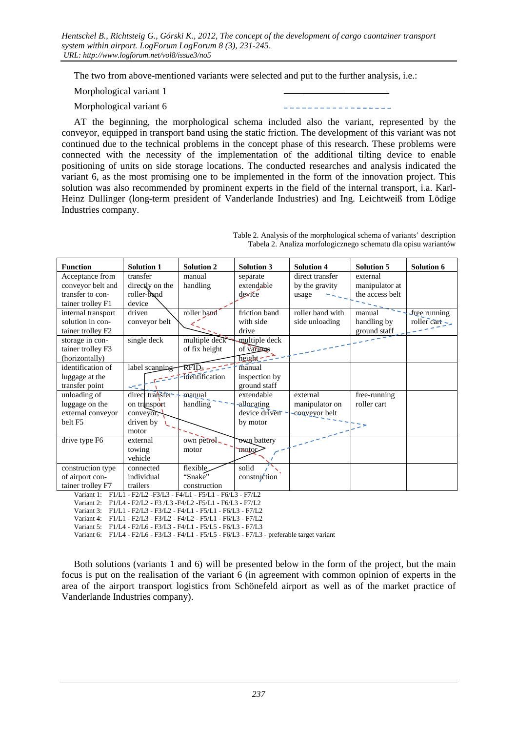*Hentschel B., Richtsteig G., Górski K., 2012, The concept of the development of cargo caontainer transport system within airport. LogForum LogForum 8 (3), 231-245. URL: http://www.logforum.net/vol8/issue3/no5* 

The two from above-mentioned variants were selected and put to the further analysis, i.e.:

Morphological variant 1

Morphological variant 6

AT the beginning, the morphological schema included also the variant, represented by the conveyor, equipped in transport band using the static friction. The development of this variant was not continued due to the technical problems in the concept phase of this research. These problems were connected with the necessity of the implementation of the additional tilting device to enable positioning of units on side storage locations. The conducted researches and analysis indicated the variant 6, as the most promising one to be implemented in the form of the innovation project. This solution was also recommended by prominent experts in the field of the internal transport, i.a. Karl-Heinz Dullinger (long-term president of Vanderlande Industries) and Ing. Leichtweiß from Lödige Industries company.

| <b>Function</b>                                                  | <b>Solution 1</b>                  | <b>Solution 2</b> | <b>Solution 3</b>            | <b>Solution 4</b> | <b>Solution 5</b> | <b>Solution 6</b>  |  |  |
|------------------------------------------------------------------|------------------------------------|-------------------|------------------------------|-------------------|-------------------|--------------------|--|--|
| Acceptance from                                                  | transfer                           | manual            | separate                     | direct transfer   | external          |                    |  |  |
| conveyor belt and                                                | directly on the                    | handling          | extendable                   | by the gravity    | manipulator at    |                    |  |  |
| transfer to con-                                                 | roller-band                        |                   | device                       | usage             | the access belt   |                    |  |  |
| tainer trolley F1                                                | device                             |                   |                              |                   |                   |                    |  |  |
| internal transport                                               | driven                             | roller band       | friction band                | roller band with  | manual            | free running       |  |  |
| solution in con-                                                 | conveyor belt                      |                   | with side                    | side unloading    | handling by       | roller cart $\sim$ |  |  |
| tainer trolley F2                                                |                                    |                   | drive                        |                   | ground staff      |                    |  |  |
| storage in con-                                                  | single deck                        | multiple deck     | multiple deck                |                   |                   |                    |  |  |
| tainer trolley F3                                                |                                    | of fix height     | of various                   |                   |                   |                    |  |  |
| (horizontally)                                                   |                                    |                   | $\overline{\text{height}}$ - |                   |                   |                    |  |  |
| identification of                                                | label scanning                     | $RFD$ .           | manual                       |                   |                   |                    |  |  |
| luggage at the                                                   |                                    | -identification   | inspection by                |                   |                   |                    |  |  |
| transfer point                                                   | سيب                                |                   | ground staff                 |                   |                   |                    |  |  |
| unloading of                                                     | direct transfer                    | manual            | extendable                   | external          | free-running      |                    |  |  |
| luggage on the                                                   | on transport                       | handling          | -allocating                  | manipulator on    | roller cart       |                    |  |  |
| external conveyor                                                | $\overrightarrow{\text{conveyor}}$ |                   | device driven                | conveyor belt     |                   |                    |  |  |
| belt F5                                                          | driven by                          |                   | by motor                     |                   |                   |                    |  |  |
|                                                                  | motor                              |                   |                              |                   |                   |                    |  |  |
| drive type F6                                                    | external                           | own petrol        | <b>Own</b> battery           |                   |                   |                    |  |  |
|                                                                  | towing                             | motor             | <b>TROTOL</b>                |                   |                   |                    |  |  |
|                                                                  | vehicle                            |                   |                              |                   |                   |                    |  |  |
| construction type                                                | connected                          | flexible          | solid                        |                   |                   |                    |  |  |
| of airport con-                                                  | individual                         | "Snake"           | construction                 |                   |                   |                    |  |  |
| tainer trolley F7                                                | trailers                           | construction      |                              |                   |                   |                    |  |  |
| Variant 1: F1/L1 - F2/L2 - F3/L3 - F4/L1 - F5/L1 - F6/L3 - F7/L2 |                                    |                   |                              |                   |                   |                    |  |  |

Table 2. Analysis of the morphological schema of variants' description Tabela 2. Analiza morfologicznego schematu dla opisu wariantów

Variant 2: F1/L4 - F2/L2 - F3 /L3 -F4/L2 -F5/L1 - F6/L3 - F7/L2 Variant 3: F1/L1 - F2/L3 - F3/L2 - F4/L1 - F5/L1 - F6/L3 - F7/L2

Variant 4: F1/L1 - F2/L3 - F3/L2 - F4/L2 - F5/L1 - F6/L3 - F7/L2

Variant 5: F1/L4 - F2/L6 - F3/L3 - F4/L1 - F5/L5 - F6/L3 - F7/L3

Variant 6: F1/L4 - F2/L6 - F3/L3 - F4/L1 - F5/L5 - F6/L3 - F7/L3 - preferable target variant

Both solutions (variants 1 and 6) will be presented below in the form of the project, but the main focus is put on the realisation of the variant 6 (in agreement with common opinion of experts in the area of the airport transport logistics from Schönefeld airport as well as of the market practice of Vanderlande Industries company).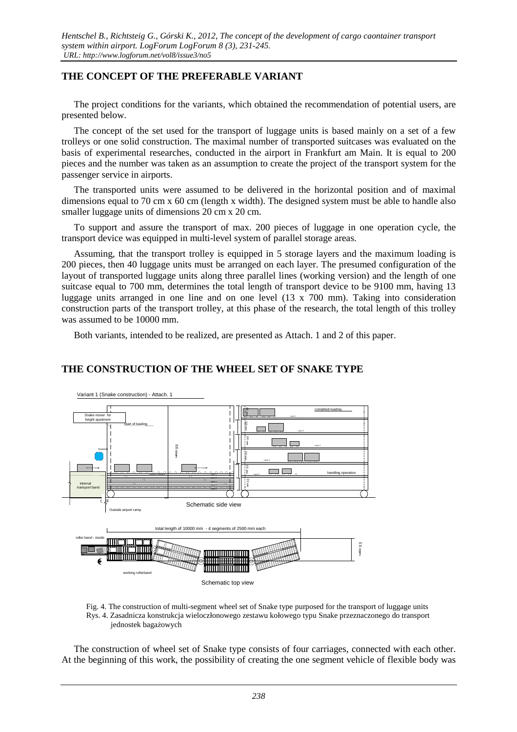#### **THE CONCEPT OF THE PREFERABLE VARIANT**

The project conditions for the variants, which obtained the recommendation of potential users, are presented below.

The concept of the set used for the transport of luggage units is based mainly on a set of a few trolleys or one solid construction. The maximal number of transported suitcases was evaluated on the basis of experimental researches, conducted in the airport in Frankfurt am Main. It is equal to 200 pieces and the number was taken as an assumption to create the project of the transport system for the passenger service in airports.

The transported units were assumed to be delivered in the horizontal position and of maximal dimensions equal to 70 cm x 60 cm (length x width). The designed system must be able to handle also smaller luggage units of dimensions 20 cm x 20 cm.

To support and assure the transport of max. 200 pieces of luggage in one operation cycle, the transport device was equipped in multi-level system of parallel storage areas.

Assuming, that the transport trolley is equipped in 5 storage layers and the maximum loading is 200 pieces, then 40 luggage units must be arranged on each layer. The presumed configuration of the layout of transported luggage units along three parallel lines (working version) and the length of one suitcase equal to 700 mm, determines the total length of transport device to be 9100 mm, having 13 luggage units arranged in one line and on one level (13 x 700 mm). Taking into consideration construction parts of the transport trolley, at this phase of the research, the total length of this trolley was assumed to be 10000 mm.

Both variants, intended to be realized, are presented as Attach. 1 and 2 of this paper.

#### **THE CONSTRUCTION OF THE WHEEL SET OF SNAKE TYPE**



 Fig. 4. The construction of multi-segment wheel set of Snake type purposed for the transport of luggage units Rys. 4. Zasadnicza konstrukcja wieloczłonowego zestawu kołowego typu Snake przeznaczonego do transport jednostek bagażowych

The construction of wheel set of Snake type consists of four carriages, connected with each other. At the beginning of this work, the possibility of creating the one segment vehicle of flexible body was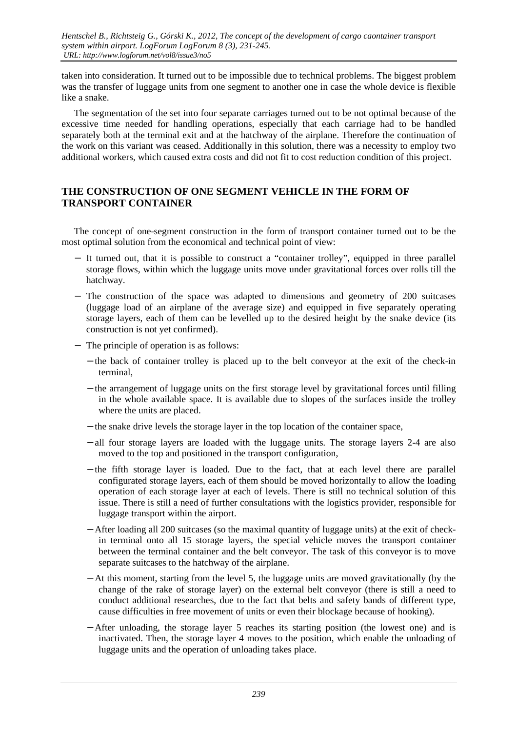taken into consideration. It turned out to be impossible due to technical problems. The biggest problem was the transfer of luggage units from one segment to another one in case the whole device is flexible like a snake.

The segmentation of the set into four separate carriages turned out to be not optimal because of the excessive time needed for handling operations, especially that each carriage had to be handled separately both at the terminal exit and at the hatchway of the airplane. Therefore the continuation of the work on this variant was ceased. Additionally in this solution, there was a necessity to employ two additional workers, which caused extra costs and did not fit to cost reduction condition of this project.

#### **THE CONSTRUCTION OF ONE SEGMENT VEHICLE IN THE FORM OF TRANSPORT CONTAINER**

The concept of one-segment construction in the form of transport container turned out to be the most optimal solution from the economical and technical point of view:

- − It turned out, that it is possible to construct a "container trolley", equipped in three parallel storage flows, within which the luggage units move under gravitational forces over rolls till the hatchway.
- − The construction of the space was adapted to dimensions and geometry of 200 suitcases (luggage load of an airplane of the average size) and equipped in five separately operating storage layers, each of them can be levelled up to the desired height by the snake device (its construction is not yet confirmed).
- − The principle of operation is as follows:
	- − the back of container trolley is placed up to the belt conveyor at the exit of the check-in terminal,
	- − the arrangement of luggage units on the first storage level by gravitational forces until filling in the whole available space. It is available due to slopes of the surfaces inside the trolley where the units are placed.
	- − the snake drive levels the storage layer in the top location of the container space,
	- − all four storage layers are loaded with the luggage units. The storage layers 2-4 are also moved to the top and positioned in the transport configuration,
	- − the fifth storage layer is loaded. Due to the fact, that at each level there are parallel configurated storage layers, each of them should be moved horizontally to allow the loading operation of each storage layer at each of levels. There is still no technical solution of this issue. There is still a need of further consultations with the logistics provider, responsible for luggage transport within the airport.
	- − After loading all 200 suitcases (so the maximal quantity of luggage units) at the exit of checkin terminal onto all 15 storage layers, the special vehicle moves the transport container between the terminal container and the belt conveyor. The task of this conveyor is to move separate suitcases to the hatchway of the airplane.
	- − At this moment, starting from the level 5, the luggage units are moved gravitationally (by the change of the rake of storage layer) on the external belt conveyor (there is still a need to conduct additional researches, due to the fact that belts and safety bands of different type, cause difficulties in free movement of units or even their blockage because of hooking).
	- − After unloading, the storage layer 5 reaches its starting position (the lowest one) and is inactivated. Then, the storage layer 4 moves to the position, which enable the unloading of luggage units and the operation of unloading takes place.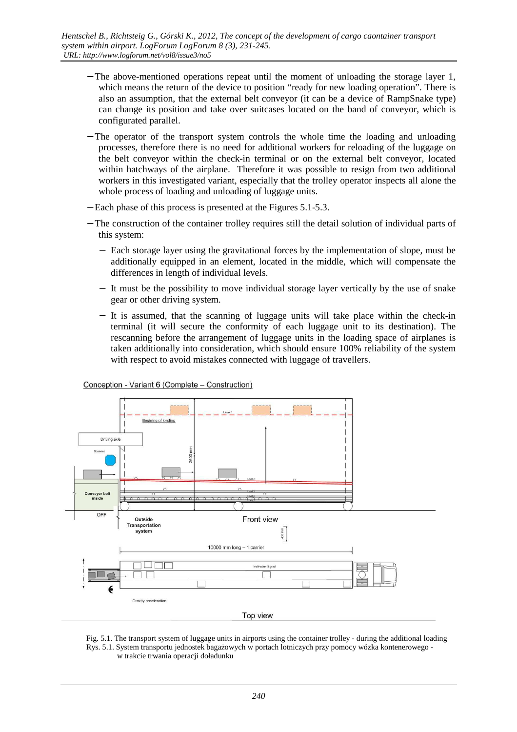- − The above-mentioned operations repeat until the moment of unloading the storage layer 1, which means the return of the device to position "ready for new loading operation". There is also an assumption, that the external belt conveyor (it can be a device of RampSnake type) can change its position and take over suitcases located on the band of conveyor, which is configurated parallel.
- − The operator of the transport system controls the whole time the loading and unloading processes, therefore there is no need for additional workers for reloading of the luggage on the belt conveyor within the check-in terminal or on the external belt conveyor, located within hatchways of the airplane. Therefore it was possible to resign from two additional workers in this investigated variant, especially that the trolley operator inspects all alone the whole process of loading and unloading of luggage units.
- − Each phase of this process is presented at the Figures 5.1-5.3.
- − The construction of the container trolley requires still the detail solution of individual parts of this system:
	- − Each storage layer using the gravitational forces by the implementation of slope, must be additionally equipped in an element, located in the middle, which will compensate the differences in length of individual levels.
	- − It must be the possibility to move individual storage layer vertically by the use of snake gear or other driving system.
	- − It is assumed, that the scanning of luggage units will take place within the check-in terminal (it will secure the conformity of each luggage unit to its destination). The rescanning before the arrangement of luggage units in the loading space of airplanes is taken additionally into consideration, which should ensure 100% reliability of the system with respect to avoid mistakes connected with luggage of travellers.



Conception - Variant 6 (Complete - Construction)

 Fig. 5.1. The transport system of luggage units in airports using the container trolley - during the additional loading Rys. 5.1. System transportu jednostek bagażowych w portach lotniczych przy pomocy wózka kontenerowego w trakcie trwania operacji doładunku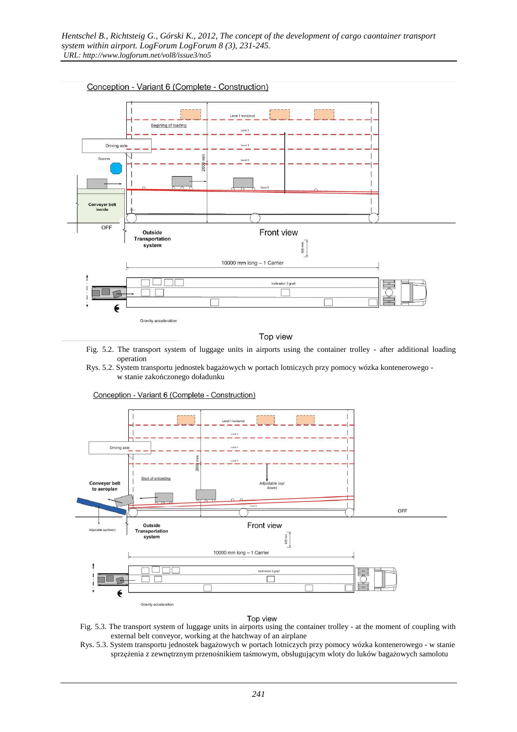

Top view

- Fig. 5.2. The transport system of luggage units in airports using the container trolley after additional loading operation
- Rys. 5.2. System transportu jednostek bagażowych w portach lotniczych przy pomocy wózka kontenerowego w stanie zakończonego doładunku



Conception - Variant 6 (Complete - Construction)

#### Top view

- Fig. 5.3. The transport system of luggage units in airports using the container trolley at the moment of coupling with external belt conveyor, working at the hatchway of an airplane
- Rys. 5.3. System transportu jednostek bagażowych w portach lotniczych przy pomocy wózka kontenerowego w stanie sprzężenia z zewnętrznym przenośnikiem taśmowym, obsługującym wloty do luków bagażowych samolotu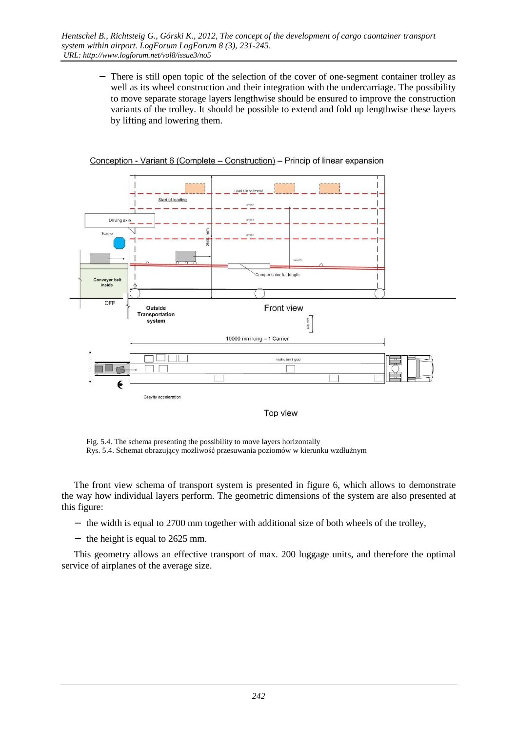− There is still open topic of the selection of the cover of one-segment container trolley as well as its wheel construction and their integration with the undercarriage. The possibility to move separate storage layers lengthwise should be ensured to improve the construction variants of the trolley. It should be possible to extend and fold up lengthwise these layers by lifting and lowering them.



Conception - Variant 6 (Complete – Construction) – Princip of linear expansion

 Fig. 5.4. The schema presenting the possibility to move layers horizontally Rys. 5.4. Schemat obrazujący możliwość przesuwania poziomów w kierunku wzdłużnym

The front view schema of transport system is presented in figure 6, which allows to demonstrate the way how individual layers perform. The geometric dimensions of the system are also presented at this figure:

- − the width is equal to 2700 mm together with additional size of both wheels of the trolley,
- − the height is equal to 2625 mm.

This geometry allows an effective transport of max. 200 luggage units, and therefore the optimal service of airplanes of the average size.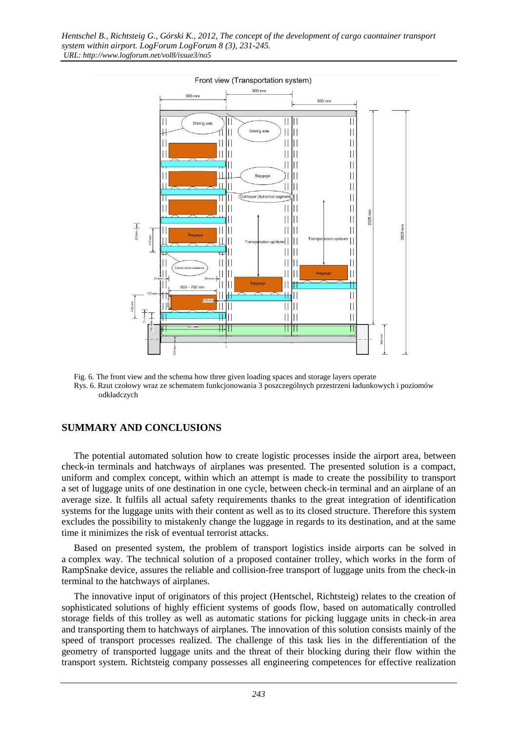

Fig. 6. The front view and the schema how three given loading spaces and storage layers operate Rys. 6. Rzut czołowy wraz ze schematem funkcjonowania 3 poszczególnych przestrzeni ładunkowych i poziomów odkładczych

### **SUMMARY AND CONCLUSIONS**

The potential automated solution how to create logistic processes inside the airport area, between check-in terminals and hatchways of airplanes was presented. The presented solution is a compact, uniform and complex concept, within which an attempt is made to create the possibility to transport a set of luggage units of one destination in one cycle, between check-in terminal and an airplane of an average size. It fulfils all actual safety requirements thanks to the great integration of identification systems for the luggage units with their content as well as to its closed structure. Therefore this system excludes the possibility to mistakenly change the luggage in regards to its destination, and at the same time it minimizes the risk of eventual terrorist attacks.

Based on presented system, the problem of transport logistics inside airports can be solved in a complex way. The technical solution of a proposed container trolley, which works in the form of RampSnake device, assures the reliable and collision-free transport of luggage units from the check-in terminal to the hatchways of airplanes.

The innovative input of originators of this project (Hentschel, Richtsteig) relates to the creation of sophisticated solutions of highly efficient systems of goods flow, based on automatically controlled storage fields of this trolley as well as automatic stations for picking luggage units in check-in area and transporting them to hatchways of airplanes. The innovation of this solution consists mainly of the speed of transport processes realized. The challenge of this task lies in the differentiation of the geometry of transported luggage units and the threat of their blocking during their flow within the transport system. Richtsteig company possesses all engineering competences for effective realization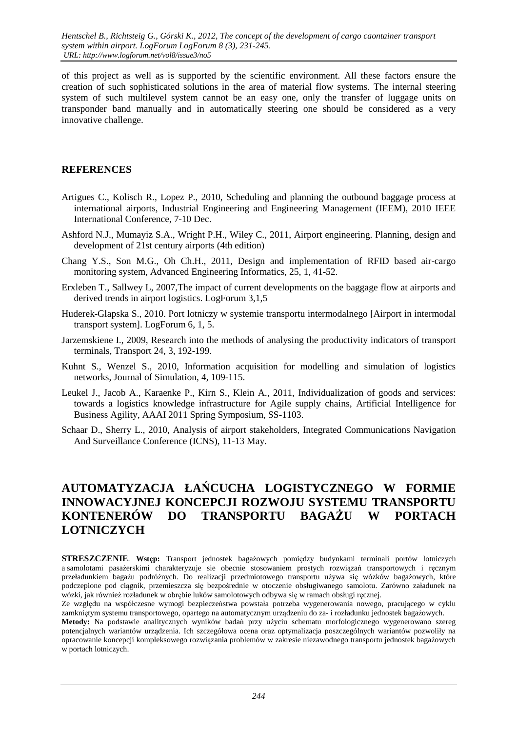of this project as well as is supported by the scientific environment. All these factors ensure the creation of such sophisticated solutions in the area of material flow systems. The internal steering system of such multilevel system cannot be an easy one, only the transfer of luggage units on transponder band manually and in automatically steering one should be considered as a very innovative challenge.

#### **REFERENCES**

- Artigues C., Kolisch R., Lopez P., 2010, Scheduling and planning the outbound baggage process at international airports, Industrial Engineering and Engineering Management (IEEM), 2010 IEEE International Conference, 7-10 Dec.
- Ashford N.J., Mumayiz S.A., Wright P.H., Wiley C., 2011, Airport engineering. Planning, design and development of 21st century airports (4th edition)
- Chang Y.S., Son M.G., Oh Ch.H., 2011, Design and implementation of RFID based air-cargo monitoring system, Advanced Engineering Informatics, 25, 1, 41-52.
- Erxleben T., Sallwey L, 2007,The impact of current developments on the baggage flow at airports and derived trends in airport logistics. LogForum 3,1,5
- Huderek-Glapska S., 2010. Port lotniczy w systemie transportu intermodalnego [Airport in intermodal transport system]. LogForum 6, 1, 5.
- Jarzemskiene I., 2009, Research into the methods of analysing the productivity indicators of transport terminals, Transport 24, 3, 192-199.
- Kuhnt S., Wenzel S., 2010, Information acquisition for modelling and simulation of logistics networks, Journal of Simulation, 4, 109-115.
- Leukel J., Jacob A., Karaenke P., Kirn S., Klein A., 2011, Individualization of goods and services: towards a logistics knowledge infrastructure for Agile supply chains, Artificial Intelligence for Business Agility, AAAI 2011 Spring Symposium, SS-1103.
- Schaar D., Sherry L., 2010, Analysis of airport stakeholders, Integrated Communications Navigation And Surveillance Conference (ICNS), 11-13 May.

## **AUTOMATYZACJA ŁAŃCUCHA LOGISTYCZNEGO W FORMIE INNOWACYJNEJ KONCEPCJI ROZWOJU SYSTEMU TRANSPORTU KONTENERÓW DO TRANSPORTU BAGAŻU W PORTACH LOTNICZYCH**

**STRESZCZENIE.** Wstep: Transport jednostek bagażowych pomiędzy budynkami terminali portów lotniczych a samolotami pasażerskimi charakteryzuje sie obecnie stosowaniem prostych rozwiązań transportowych i ręcznym przeładunkiem bagażu podróżnych. Do realizacji przedmiotowego transportu używa się wózków bagażowych, które podczepione pod ciągnik, przemieszcza się bezpośrednie w otoczenie obsługiwanego samolotu. Zarówno załadunek na wózki, jak również rozładunek w obrębie luków samolotowych odbywa się w ramach obsługi ręcznej.

Ze względu na współczesne wymogi bezpieczeństwa powstała potrzeba wygenerowania nowego, pracującego w cyklu zamkniętym systemu transportowego, opartego na automatycznym urządzeniu do za- i rozładunku jednostek bagażowych.

**Metody:** Na podstawie analitycznych wyników badań przy użyciu schematu morfologicznego wygenerowano szereg potencjalnych wariantów urządzenia. Ich szczegółowa ocena oraz optymalizacja poszczególnych wariantów pozwoliły na opracowanie koncepcji kompleksowego rozwiązania problemów w zakresie niezawodnego transportu jednostek bagażowych w portach lotniczych.